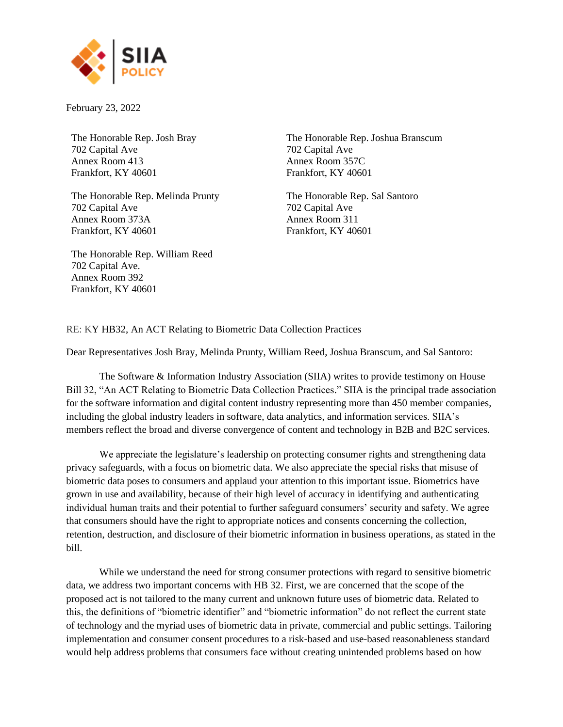

February 23, 2022

The Honorable Rep. Josh Bray 702 Capital Ave Annex Room 413 Frankfort, KY 40601

The Honorable [Rep. Melinda Prunty](https://legiscan.com/KY/people/melinda-prunty/id/18338) 702 Capital Ave Annex Room 373A Frankfort, KY 40601

The Honorable [Rep. William Reed](https://legiscan.com/KY/people/william-reed/id/18248) 702 Capital Ave. Annex Room 392 Frankfort, KY 40601

The Honorable [Rep. Joshua Branscum](https://legiscan.com/KY/people/joshua-branscum/id/22051) 702 Capital Ave Annex Room 357C Frankfort, KY 40601

The Honorable Rep. Sal Santoro 702 Capital Ave Annex Room 311 Frankfort, KY 40601

RE: KY HB32, An ACT Relating to Biometric Data Collection Practices

Dear Representatives Josh Bray, Melinda Prunty, William Reed, Joshua Branscum, and Sal Santoro:

The Software & Information Industry Association (SIIA) writes to provide testimony on House Bill 32, "An ACT Relating to Biometric Data Collection Practices." SIIA is the principal trade association for the software information and digital content industry representing more than 450 member companies, including the global industry leaders in software, data analytics, and information services. SIIA's members reflect the broad and diverse convergence of content and technology in B2B and B2C services.

We appreciate the legislature's leadership on protecting consumer rights and strengthening data privacy safeguards, with a focus on biometric data. We also appreciate the special risks that misuse of biometric data poses to consumers and applaud your attention to this important issue. Biometrics have grown in use and availability, because of their high level of accuracy in identifying and authenticating individual human traits and their potential to further safeguard consumers' security and safety. We agree that consumers should have the right to appropriate notices and consents concerning the collection, retention, destruction, and disclosure of their biometric information in business operations, as stated in the bill.

While we understand the need for strong consumer protections with regard to sensitive biometric data, we address two important concerns with HB 32. First, we are concerned that the scope of the proposed act is not tailored to the many current and unknown future uses of biometric data. Related to this, the definitions of "biometric identifier" and "biometric information" do not reflect the current state of technology and the myriad uses of biometric data in private, commercial and public settings. Tailoring implementation and consumer consent procedures to a risk-based and use-based reasonableness standard would help address problems that consumers face without creating unintended problems based on how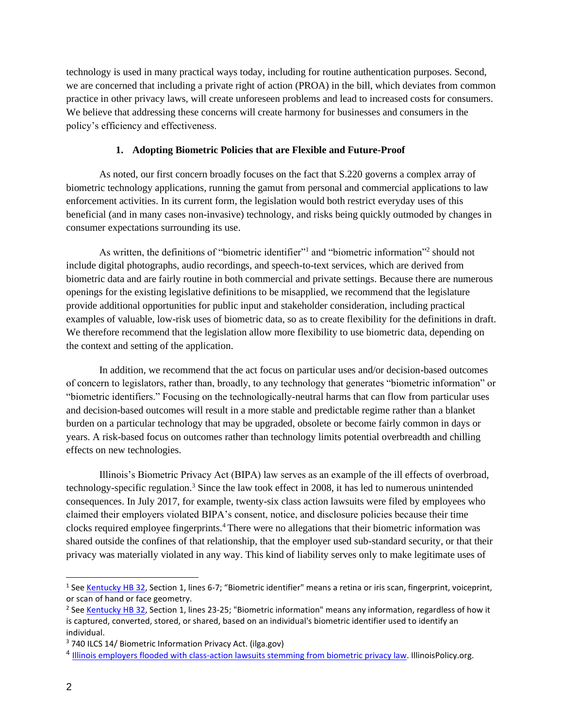technology is used in many practical ways today, including for routine authentication purposes. Second, we are concerned that including a private right of action (PROA) in the bill, which deviates from common practice in other privacy laws, will create unforeseen problems and lead to increased costs for consumers. We believe that addressing these concerns will create harmony for businesses and consumers in the policy's efficiency and effectiveness.

## **1. Adopting Biometric Policies that are Flexible and Future-Proof**

As noted, our first concern broadly focuses on the fact that S.220 governs a complex array of biometric technology applications, running the gamut from personal and commercial applications to law enforcement activities. In its current form, the legislation would both restrict everyday uses of this beneficial (and in many cases non-invasive) technology, and risks being quickly outmoded by changes in consumer expectations surrounding its use.

As written, the definitions of "biometric identifier"<sup>1</sup> and "biometric information"<sup>2</sup> should not include digital photographs, audio recordings, and speech-to-text services, which are derived from biometric data and are fairly routine in both commercial and private settings. Because there are numerous openings for the existing legislative definitions to be misapplied, we recommend that the legislature provide additional opportunities for public input and stakeholder consideration, including practical examples of valuable, low-risk uses of biometric data, so as to create flexibility for the definitions in draft. We therefore recommend that the legislation allow more flexibility to use biometric data, depending on the context and setting of the application.

In addition, we recommend that the act focus on particular uses and/or decision-based outcomes of concern to legislators, rather than, broadly, to any technology that generates "biometric information" or "biometric identifiers." Focusing on the technologically-neutral harms that can flow from particular uses and decision-based outcomes will result in a more stable and predictable regime rather than a blanket burden on a particular technology that may be upgraded, obsolete or become fairly common in days or years. A risk-based focus on outcomes rather than technology limits potential overbreadth and chilling effects on new technologies.

Illinois's Biometric Privacy Act (BIPA) law serves as an example of the ill effects of overbroad, technology-specific regulation.<sup>3</sup> Since the law took effect in 2008, it has led to numerous unintended consequences. In July 2017, for example, twenty-six class action lawsuits were filed by employees who claimed their employers violated BIPA's consent, notice, and disclosure policies because their time clocks required employee fingerprints.<sup>4</sup> There were no allegations that their biometric information was shared outside the confines of that relationship, that the employer used sub-standard security, or that their privacy was materially violated in any way. This kind of liability serves only to make legitimate uses of

<sup>&</sup>lt;sup>1</sup> See [Kentucky HB 32,](https://legiscan.com/KY/text/HB32/2022) Section 1, lines 6-7; "Biometric identifier" means a retina or iris scan, fingerprint, voiceprint, or scan of hand or face geometry.

<sup>&</sup>lt;sup>2</sup> See <u>Kentucky HB 32</u>, Section 1, lines 23-25; "Biometric information" means any information, regardless of how it is captured, converted, stored, or shared, based on an individual's biometric identifier used to identify an individual.

<sup>3</sup> 740 ILCS 14/ [Biometric Information Privacy Act. \(ilga.gov\)](https://www.ilga.gov/legislation/ilcs/ilcs3.asp?ActID=3004&ChapterID=57)

<sup>&</sup>lt;sup>4</sup> [Illinois employers flooded with class-action lawsuits stemming from biometric privacy law.](https://www.illinoispolicy.org/illinois-employers-flooded-with-class-action-lawsuits-stemming-from-biometric-privacy-law/#:~:text=Since%20July%2C%20employees%20have%20filed%20at%20least%2026,based%20on%20the%20use%20of%20fingerprint-operated%20time%20clocks.) IllinoisPolicy.org.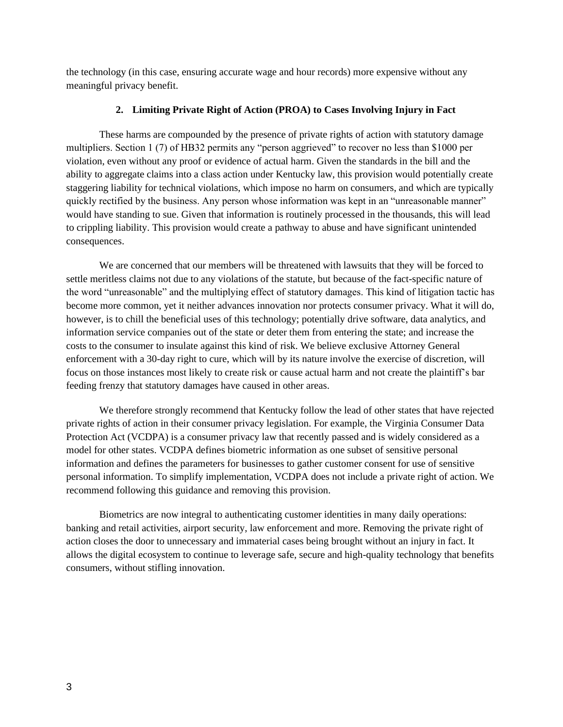the technology (in this case, ensuring accurate wage and hour records) more expensive without any meaningful privacy benefit.

## **2. Limiting Private Right of Action (PROA) to Cases Involving Injury in Fact**

These harms are compounded by the presence of private rights of action with statutory damage multipliers. Section 1 (7) of HB32 permits any "person aggrieved" to recover no less than \$1000 per violation, even without any proof or evidence of actual harm. Given the standards in the bill and the ability to aggregate claims into a class action under Kentucky law, this provision would potentially create staggering liability for technical violations, which impose no harm on consumers, and which are typically quickly rectified by the business. Any person whose information was kept in an "unreasonable manner" would have standing to sue. Given that information is routinely processed in the thousands, this will lead to crippling liability. This provision would create a pathway to abuse and have significant unintended consequences.

We are concerned that our members will be threatened with lawsuits that they will be forced to settle meritless claims not due to any violations of the statute, but because of the fact-specific nature of the word "unreasonable" and the multiplying effect of statutory damages. This kind of litigation tactic has become more common, yet it neither advances innovation nor protects consumer privacy. What it will do, however, is to chill the beneficial uses of this technology; potentially drive software, data analytics, and information service companies out of the state or deter them from entering the state; and increase the costs to the consumer to insulate against this kind of risk. We believe exclusive Attorney General enforcement with a 30-day right to cure, which will by its nature involve the exercise of discretion, will focus on those instances most likely to create risk or cause actual harm and not create the plaintiff's bar feeding frenzy that statutory damages have caused in other areas.

We therefore strongly recommend that Kentucky follow the lead of other states that have rejected private rights of action in their consumer privacy legislation. For example, the Virginia Consumer Data Protection Act (VCDPA) is a consumer privacy law that recently passed and is widely considered as a model for other states. VCDPA defines biometric information as one subset of sensitive personal information and defines the parameters for businesses to gather customer consent for use of sensitive personal information. To simplify implementation, VCDPA does not include a private right of action. We recommend following this guidance and removing this provision.

Biometrics are now integral to authenticating customer identities in many daily operations: banking and retail activities, airport security, law enforcement and more. Removing the private right of action closes the door to unnecessary and immaterial cases being brought without an injury in fact. It allows the digital ecosystem to continue to leverage safe, secure and high-quality technology that benefits consumers, without stifling innovation.